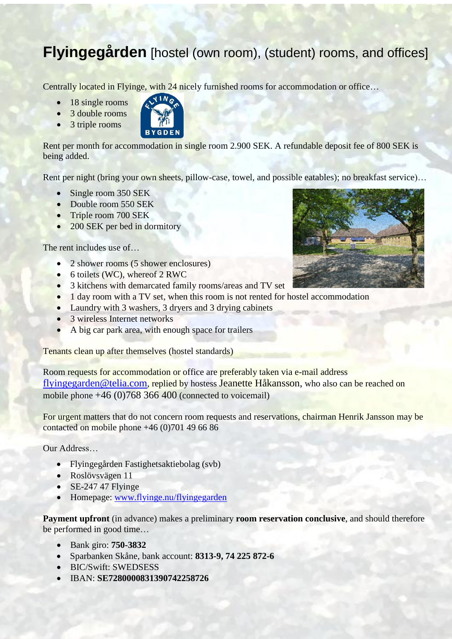## **Flyingegården** [hostel (own room), (student) rooms, and offices]

Centrally located in Flyinge, with 24 nicely furnished rooms for accommodation or office…

- $\bullet$  18 single rooms
- 3 double rooms
- $\bullet$  3 triple rooms



Rent per month for accommodation in single room 2.900 SEK. A refundable deposit fee of 800 SEK is being added.

Rent per night (bring your own sheets, pillow-case, towel, and possible eatables); no breakfast service)...

- Single room 350 SEK
- Double room 550 SEK
- Triple room 700 SEK
- 200 SEK per bed in dormitory

The rent includes use of...

- 2 shower rooms (5 shower enclosures)
- 6 toilets (WC), whereof 2 RWC
- 3 kitchens with demarcated family rooms/areas and TV set
- 1 day room with a TV set, when this room is not rented for hostel accommodation
- Laundry with 3 washers, 3 dryers and 3 drying cabinets
- 3 wireless Internet networks
- A big car park area, with enough space for trailers

Tenants clean up after themselves (hostel standards)

Room requests for accommodation or office are preferably taken via e-mail address [flyingegarden@telia.com](mailto:flyingegarden@telia.com), replied by hostess Jeanette Håkansson, who also can be reached on mobile phone  $+46$  (0)768 366 400 (connected to voicemail)

For urgent matters that do not concern room requests and reservations, chairman Henrik Jansson may be contacted on mobile phone +46 (0)701 49 66 86

Our Address…

- Flyingegården Fastighetsaktiebolag (svb)
- Roslövsvägen 11
- $\cdot$  SE-247 47 Flyinge
- Homepage: [www.flyinge.nu/flyingegarden](http://www.flyinge.nu/flyingegarden)

**Payment upfront** (in advance) makes a preliminary **room reservation conclusive**, and should therefore be performed in good time…

- Bank giro: **750-3832**
- Sparbanken Skåne, bank account: **8313-9, 74 225 872-6**
- BIC/Swift: SWEDSESS
- IBAN: **SE7280000831390742258726**